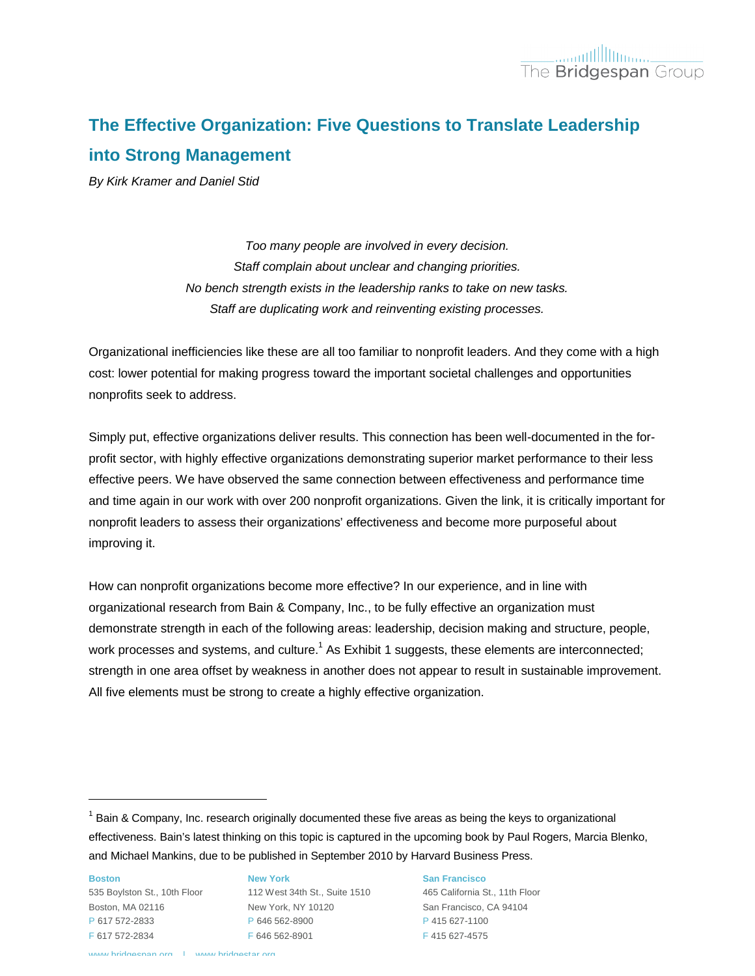# **The Effective Organization: Five Questions to Translate Leadership into Strong Management**

*By Kirk Kramer and Daniel Stid*

*Too many people are involved in every decision. Staff complain about unclear and changing priorities. No bench strength exists in the leadership ranks to take on new tasks. Staff are duplicating work and reinventing existing processes.*

Organizational inefficiencies like these are all too familiar to nonprofit leaders. And they come with a high cost: lower potential for making progress toward the important societal challenges and opportunities nonprofits seek to address.

Simply put, effective organizations deliver results. This connection has been well-documented in the forprofit sector, with highly effective organizations demonstrating superior market performance to their less effective peers. We have observed the same connection between effectiveness and performance time and time again in our work with over 200 nonprofit organizations. Given the link, it is critically important for nonprofit leaders to assess their organizations' effectiveness and become more purposeful about improving it.

How can nonprofit organizations become more effective? In our experience, and in line with organizational research from Bain & Company, Inc., to be fully effective an organization must demonstrate strength in each of the following areas: leadership, decision making and structure, people, work processes and systems, and culture.<sup>1</sup> As Exhibit 1 suggests, these elements are interconnected; strength in one area offset by weakness in another does not appear to result in sustainable improvement. All five elements must be strong to create a highly effective organization.

**Boston** Boston, MA 02116 P 617 572-2833 F 617 572-2834

l

535 Boylston St., 10th Floor 112 West 34th St., Suite 1510 465 California St., 11th Floor **New York** New York, NY 10120 P 646 562-8900 F 646 562-8901

**San Francisco**

San Francisco, CA 94104 P 415 627-1100 F 415 627-4575

 $1$  Bain & Company, Inc. research originally documented these five areas as being the keys to organizational effectiveness. Bain's latest thinking on this topic is captured in the upcoming book by Paul Rogers, Marcia Blenko, and Michael Mankins, due to be published in September 2010 by Harvard Business Press.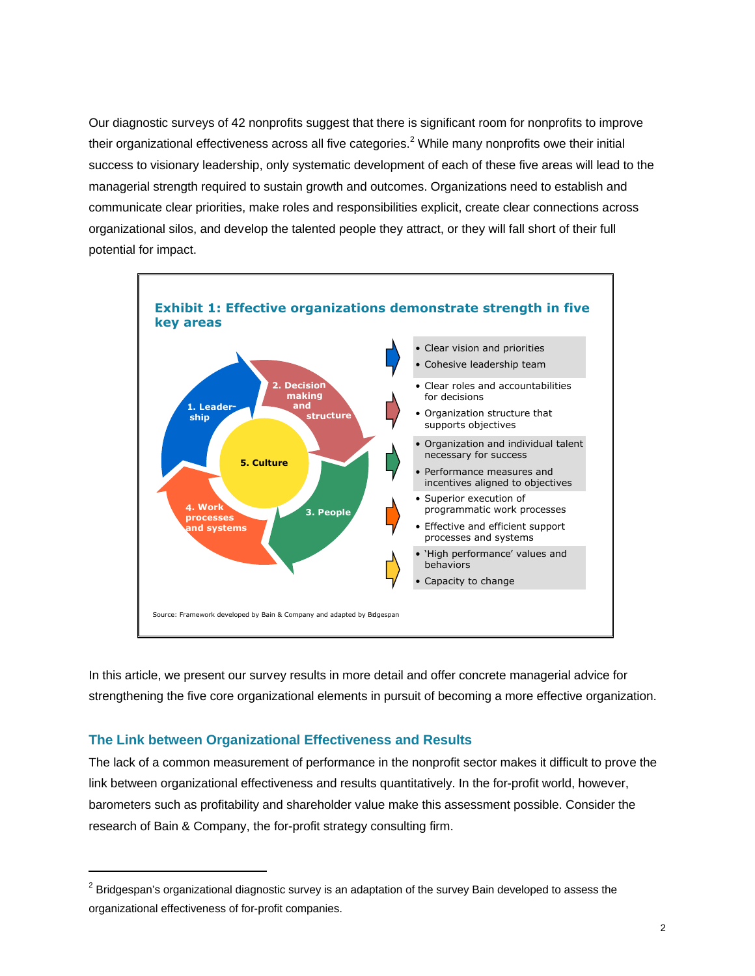Our diagnostic surveys of 42 nonprofits suggest that there is significant room for nonprofits to improve their organizational effectiveness across all five categories.<sup>2</sup> While many nonprofits owe their initial success to visionary leadership, only systematic development of each of these five areas will lead to the managerial strength required to sustain growth and outcomes. Organizations need to establish and communicate clear priorities, make roles and responsibilities explicit, create clear connections across organizational silos, and develop the talented people they attract, or they will fall short of their full potential for impact.



In this article, we present our survey results in more detail and offer concrete managerial advice for strengthening the five core organizational elements in pursuit of becoming a more effective organization.

### **The Link between Organizational Effectiveness and Results**

l

The lack of a common measurement of performance in the nonprofit sector makes it difficult to prove the link between organizational effectiveness and results quantitatively. In the for-profit world, however, barometers such as profitability and shareholder value make this assessment possible. Consider the research of Bain & Company, the for-profit strategy consulting firm.

 $^{2}$  Bridgespan's organizational diagnostic survey is an adaptation of the survey Bain developed to assess the organizational effectiveness of for-profit companies.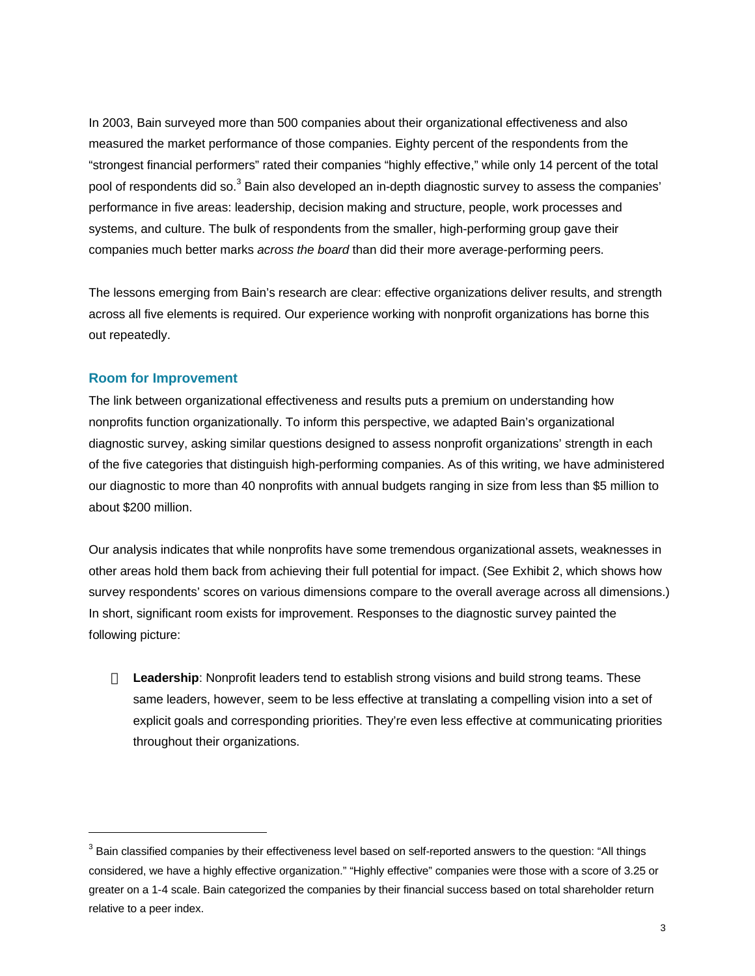In 2003, Bain surveyed more than 500 companies about their organizational effectiveness and also measured the market performance of those companies. Eighty percent of the respondents from the "strongest financial performers" rated their companies "highly effective," while only 14 percent of the total pool of respondents did so.<sup>3</sup> Bain also developed an in-depth diagnostic survey to assess the companies' performance in five areas: leadership, decision making and structure, people, work processes and systems, and culture. The bulk of respondents from the smaller, high-performing group gave their companies much better marks *across the board* than did their more average-performing peers.

The lessons emerging from Bain's research are clear: effective organizations deliver results, and strength across all five elements is required. Our experience working with nonprofit organizations has borne this out repeatedly.

#### **Room for Improvement**

l

The link between organizational effectiveness and results puts a premium on understanding how nonprofits function organizationally. To inform this perspective, we adapted Bain's organizational diagnostic survey, asking similar questions designed to assess nonprofit organizations' strength in each of the five categories that distinguish high-performing companies. As of this writing, we have administered our diagnostic to more than 40 nonprofits with annual budgets ranging in size from less than \$5 million to about \$200 million.

Our analysis indicates that while nonprofits have some tremendous organizational assets, weaknesses in other areas hold them back from achieving their full potential for impact. (See Exhibit 2, which shows how survey respondents' scores on various dimensions compare to the overall average across all dimensions.) In short, significant room exists for improvement. Responses to the diagnostic survey painted the following picture:

**Leadership**: Nonprofit leaders tend to establish strong visions and build strong teams. These same leaders, however, seem to be less effective at translating a compelling vision into a set of explicit goals and corresponding priorities. They're even less effective at communicating priorities throughout their organizations.

 $^3$  Bain classified companies by their effectiveness level based on self-reported answers to the question: "All things considered, we have a highly effective organization." "Highly effective" companies were those with a score of 3.25 or greater on a 1-4 scale. Bain categorized the companies by their financial success based on total shareholder return relative to a peer index.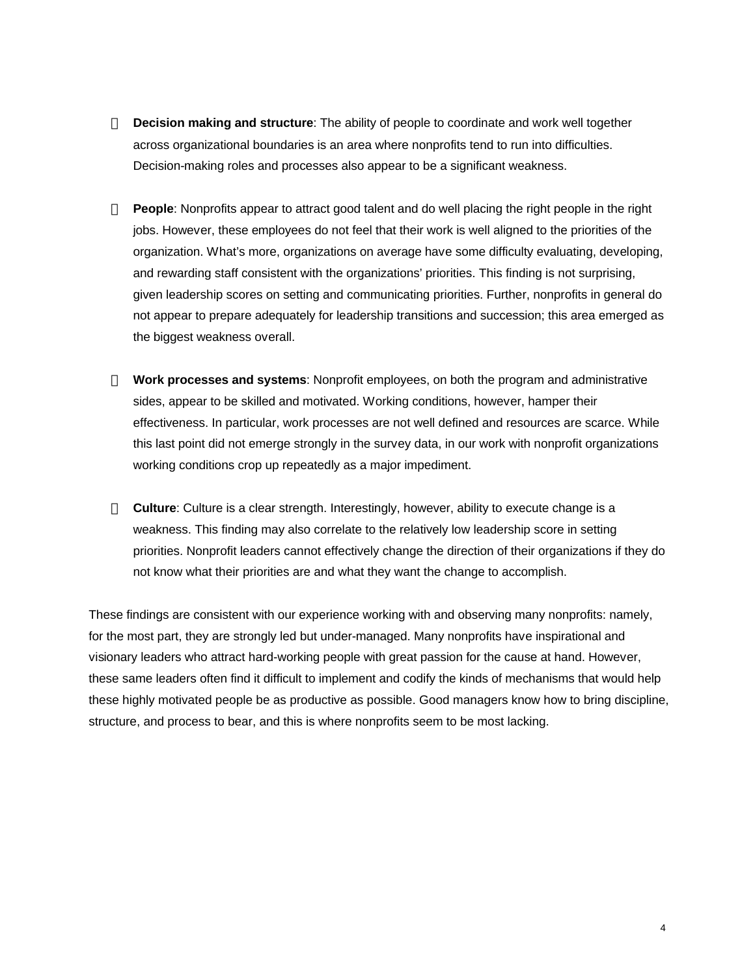**Decision making and structure**: The ability of people to coordinate and work well together across organizational boundaries is an area where nonprofits tend to run into difficulties. Decision-making roles and processes also appear to be a significant weakness.

**People**: Nonprofits appear to attract good talent and do well placing the right people in the right jobs. However, these employees do not feel that their work is well aligned to the priorities of the organization. What's more, organizations on average have some difficulty evaluating, developing, and rewarding staff consistent with the organizations' priorities. This finding is not surprising, given leadership scores on setting and communicating priorities. Further, nonprofits in general do not appear to prepare adequately for leadership transitions and succession; this area emerged as the biggest weakness overall.

**Work processes and systems**: Nonprofit employees, on both the program and administrative sides, appear to be skilled and motivated. Working conditions, however, hamper their effectiveness. In particular, work processes are not well defined and resources are scarce. While this last point did not emerge strongly in the survey data, in our work with nonprofit organizations working conditions crop up repeatedly as a major impediment.

**Culture**: Culture is a clear strength. Interestingly, however, ability to execute change is a weakness. This finding may also correlate to the relatively low leadership score in setting priorities. Nonprofit leaders cannot effectively change the direction of their organizations if they do not know what their priorities are and what they want the change to accomplish.

These findings are consistent with our experience working with and observing many nonprofits: namely, for the most part, they are strongly led but under-managed. Many nonprofits have inspirational and visionary leaders who attract hard-working people with great passion for the cause at hand. However, these same leaders often find it difficult to implement and codify the kinds of mechanisms that would help these highly motivated people be as productive as possible. Good managers know how to bring discipline, structure, and process to bear, and this is where nonprofits seem to be most lacking.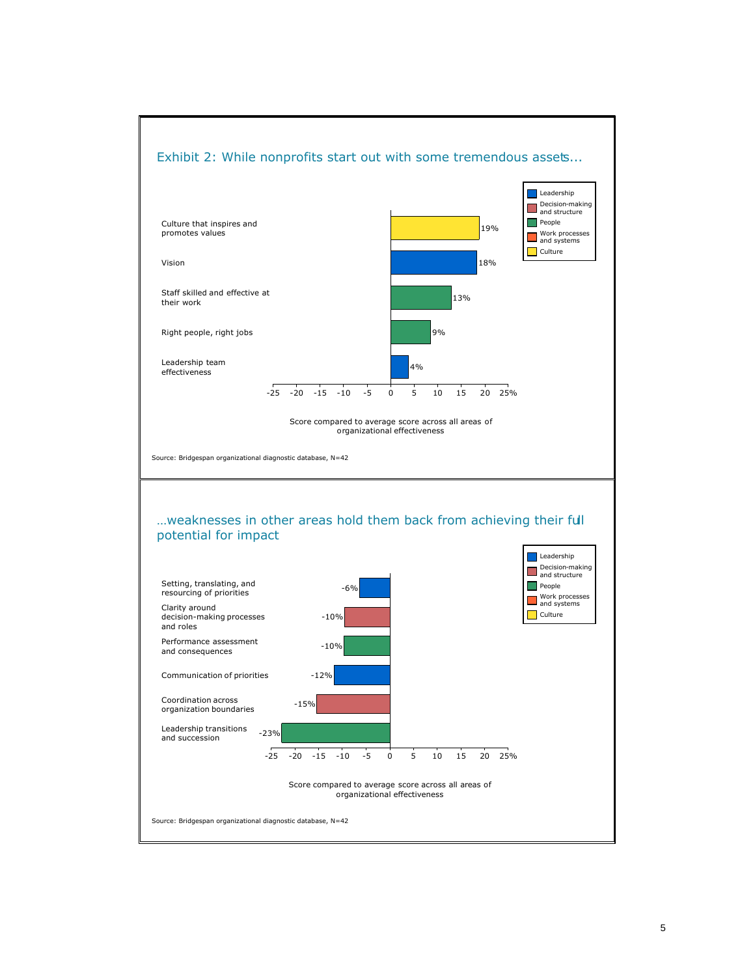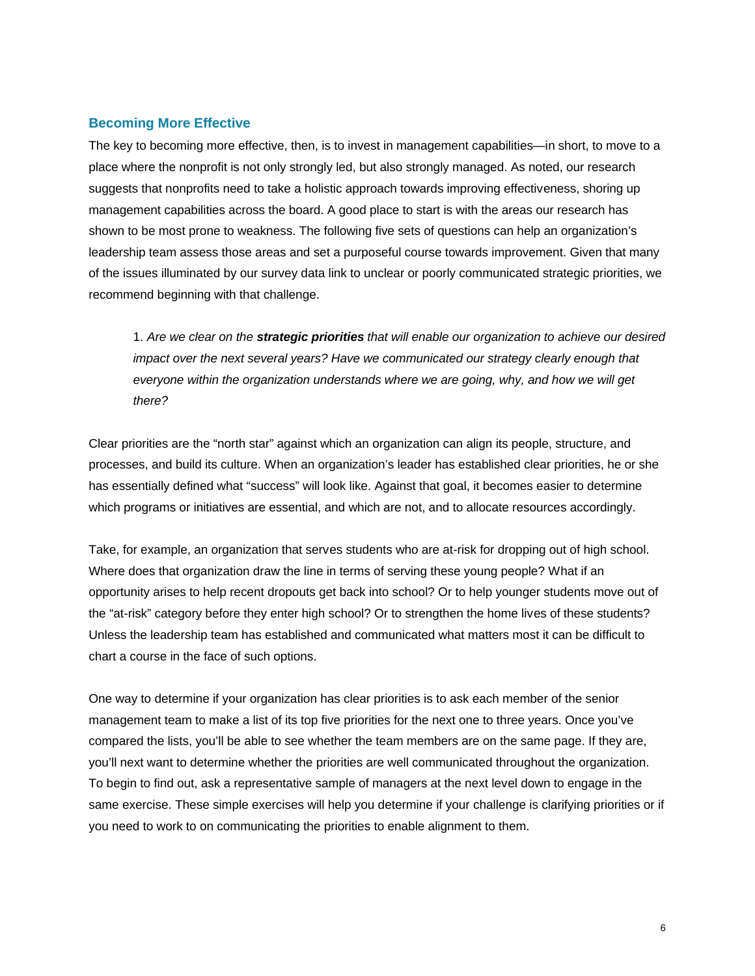#### **Becoming More Effective**

The key to becoming more effective, then, is to invest in management capabilities—in short, to move to a place where the nonprofit is not only strongly led, but also strongly managed. As noted, our research suggests that nonprofits need to take a holistic approach towards improving effectiveness, shoring up management capabilities across the board. A good place to start is with the areas our research has shown to be most prone to weakness. The following five sets of questions can help an organization's leadership team assess those areas and set a purposeful course towards improvement. Given that many of the issues illuminated by our survey data link to unclear or poorly communicated strategic priorities, we recommend beginning with that challenge.

1. *Are we clear on the strategic priorities that will enable our organization to achieve our desired impact over the next several years? Have we communicated our strategy clearly enough that everyone within the organization understands where we are going, why, and how we will get there?*

Clear priorities are the "north star" against which an organization can align its people, structure, and processes, and build its culture. When an organization's leader has established clear priorities, he or she has essentially defined what "success" will look like. Against that goal, it becomes easier to determine which programs or initiatives are essential, and which are not, and to allocate resources accordingly.

Take, for example, an organization that serves students who are at-risk for dropping out of high school. Where does that organization draw the line in terms of serving these young people? What if an opportunity arises to help recent dropouts get back into school? Or to help younger students move out of the "at-risk" category before they enter high school? Or to strengthen the home lives of these students? Unless the leadership team has established and communicated what matters most it can be difficult to chart a course in the face of such options.

One way to determine if your organization has clear priorities is to ask each member of the senior management team to make a list of its top five priorities for the next one to three years. Once you've compared the lists, you'll be able to see whether the team members are on the same page. If they are, you'll next want to determine whether the priorities are well communicated throughout the organization. To begin to find out, ask a representative sample of managers at the next level down to engage in the same exercise. These simple exercises will help you determine if your challenge is clarifying priorities or if you need to work to on communicating the priorities to enable alignment to them.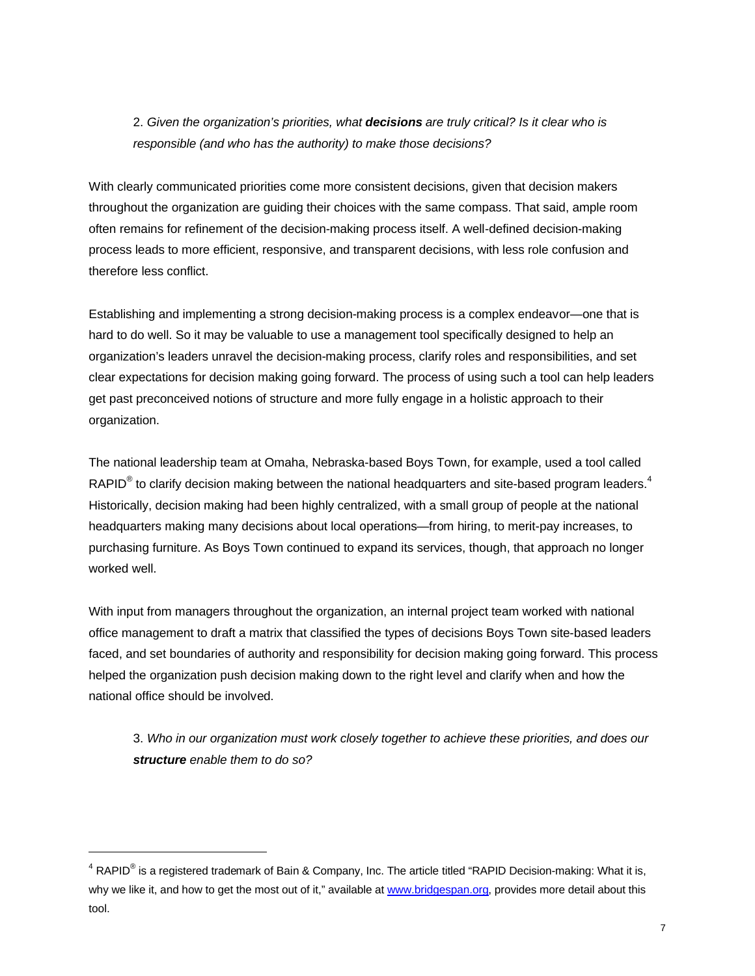## 2. *Given the organization's priorities, what decisions are truly critical? Is it clear who is responsible (and who has the authority) to make those decisions?*

With clearly communicated priorities come more consistent decisions, given that decision makers throughout the organization are guiding their choices with the same compass. That said, ample room often remains for refinement of the decision-making process itself. A well-defined decision-making process leads to more efficient, responsive, and transparent decisions, with less role confusion and therefore less conflict.

Establishing and implementing a strong decision-making process is a complex endeavor—one that is hard to do well. So it may be valuable to use a management tool specifically designed to help an organization's leaders unravel the decision-making process, clarify roles and responsibilities, and set clear expectations for decision making going forward. The process of using such a tool can help leaders get past preconceived notions of structure and more fully engage in a holistic approach to their organization.

The national leadership team at Omaha, Nebraska-based Boys Town, for example, used a tool called RAPID<sup>®</sup> to clarify decision making between the national headquarters and site-based program leaders.<sup>4</sup> Historically, decision making had been highly centralized, with a small group of people at the national headquarters making many decisions about local operations—from hiring, to merit-pay increases, to purchasing furniture. As Boys Town continued to expand its services, though, that approach no longer worked well.

With input from managers throughout the organization, an internal project team worked with national office management to draft a matrix that classified the types of decisions Boys Town site-based leaders faced, and set boundaries of authority and responsibility for decision making going forward. This process helped the organization push decision making down to the right level and clarify when and how the national office should be involved.

3. *Who in our organization must work closely together to achieve these priorities, and does our structure enable them to do so?*

l

 $^4$  RAPID $^{\circledR}$  is a registered trademark of Bain & Company, Inc. The article titled "RAPID Decision-making: What it is, why we like it, and how to get the most out of it," available at w[ww.bridgespan.org](www.bridgespan.org), provides more detail about this tool.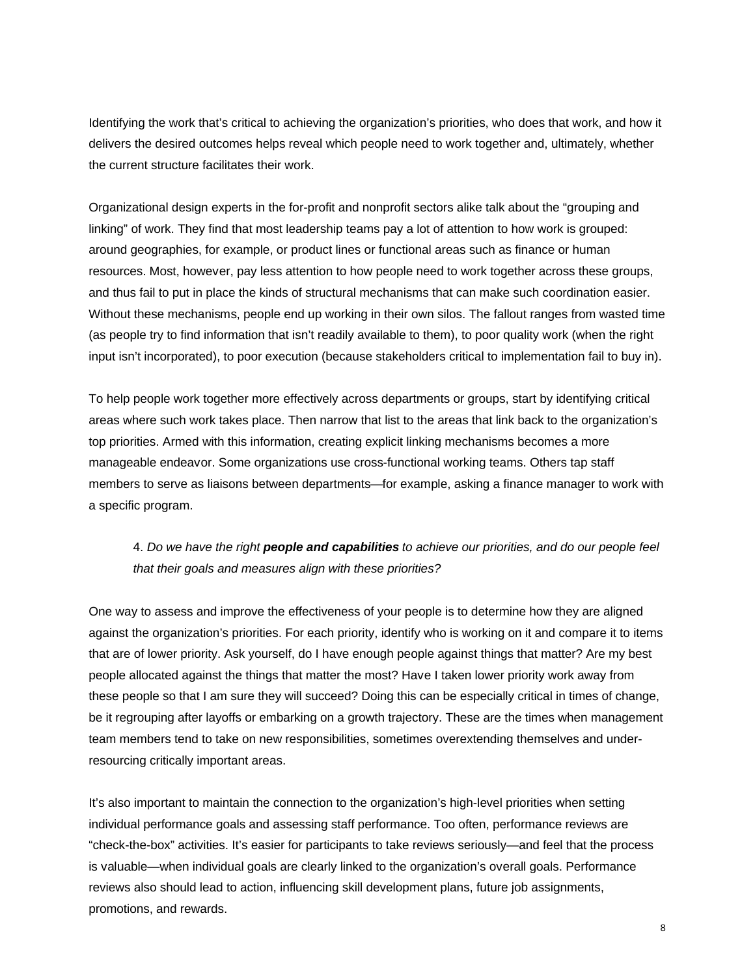Identifying the work that's critical to achieving the organization's priorities, who does that work, and how it delivers the desired outcomes helps reveal which people need to work together and, ultimately, whether the current structure facilitates their work.

Organizational design experts in the for-profit and nonprofit sectors alike talk about the "grouping and linking" of work. They find that most leadership teams pay a lot of attention to how work is grouped: around geographies, for example, or product lines or functional areas such as finance or human resources. Most, however, pay less attention to how people need to work together across these groups, and thus fail to put in place the kinds of structural mechanisms that can make such coordination easier. Without these mechanisms, people end up working in their own silos. The fallout ranges from wasted time (as people try to find information that isn't readily available to them), to poor quality work (when the right input isn't incorporated), to poor execution (because stakeholders critical to implementation fail to buy in).

To help people work together more effectively across departments or groups, start by identifying critical areas where such work takes place. Then narrow that list to the areas that link back to the organization's top priorities. Armed with this information, creating explicit linking mechanisms becomes a more manageable endeavor. Some organizations use cross-functional working teams. Others tap staff members to serve as liaisons between departments—for example, asking a finance manager to work with a specific program.

## 4. *Do we have the right people and capabilities to achieve our priorities, and do our people feel that their goals and measures align with these priorities?*

One way to assess and improve the effectiveness of your people is to determine how they are aligned against the organization's priorities. For each priority, identify who is working on it and compare it to items that are of lower priority. Ask yourself, do I have enough people against things that matter? Are my best people allocated against the things that matter the most? Have I taken lower priority work away from these people so that I am sure they will succeed? Doing this can be especially critical in times of change, be it regrouping after layoffs or embarking on a growth trajectory. These are the times when management team members tend to take on new responsibilities, sometimes overextending themselves and underresourcing critically important areas.

It's also important to maintain the connection to the organization's high-level priorities when setting individual performance goals and assessing staff performance. Too often, performance reviews are "check-the-box" activities. It's easier for participants to take reviews seriously—and feel that the process is valuable—when individual goals are clearly linked to the organization's overall goals. Performance reviews also should lead to action, influencing skill development plans, future job assignments, promotions, and rewards.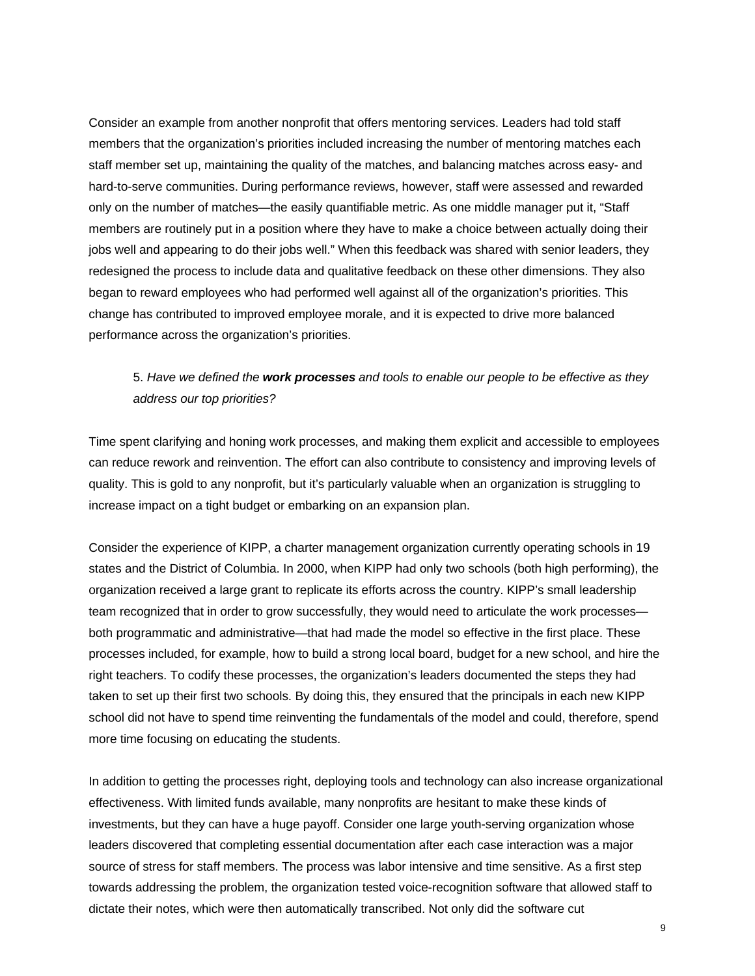Consider an example from another nonprofit that offers mentoring services. Leaders had told staff members that the organization's priorities included increasing the number of mentoring matches each staff member set up, maintaining the quality of the matches, and balancing matches across easy- and hard-to-serve communities. During performance reviews, however, staff were assessed and rewarded only on the number of matches—the easily quantifiable metric. As one middle manager put it, "Staff members are routinely put in a position where they have to make a choice between actually doing their jobs well and appearing to do their jobs well." When this feedback was shared with senior leaders, they redesigned the process to include data and qualitative feedback on these other dimensions. They also began to reward employees who had performed well against all of the organization's priorities. This change has contributed to improved employee morale, and it is expected to drive more balanced performance across the organization's priorities.

## 5. *Have we defined the work processes and tools to enable our people to be effective as they address our top priorities?*

Time spent clarifying and honing work processes, and making them explicit and accessible to employees can reduce rework and reinvention. The effort can also contribute to consistency and improving levels of quality. This is gold to any nonprofit, but it's particularly valuable when an organization is struggling to increase impact on a tight budget or embarking on an expansion plan.

Consider the experience of KIPP, a charter management organization currently operating schools in 19 states and the District of Columbia. In 2000, when KIPP had only two schools (both high performing), the organization received a large grant to replicate its efforts across the country. KIPP's small leadership team recognized that in order to grow successfully, they would need to articulate the work processes both programmatic and administrative—that had made the model so effective in the first place. These processes included, for example, how to build a strong local board, budget for a new school, and hire the right teachers. To codify these processes, the organization's leaders documented the steps they had taken to set up their first two schools. By doing this, they ensured that the principals in each new KIPP school did not have to spend time reinventing the fundamentals of the model and could, therefore, spend more time focusing on educating the students.

In addition to getting the processes right, deploying tools and technology can also increase organizational effectiveness. With limited funds available, many nonprofits are hesitant to make these kinds of investments, but they can have a huge payoff. Consider one large youth-serving organization whose leaders discovered that completing essential documentation after each case interaction was a major source of stress for staff members. The process was labor intensive and time sensitive. As a first step towards addressing the problem, the organization tested voice-recognition software that allowed staff to dictate their notes, which were then automatically transcribed. Not only did the software cut